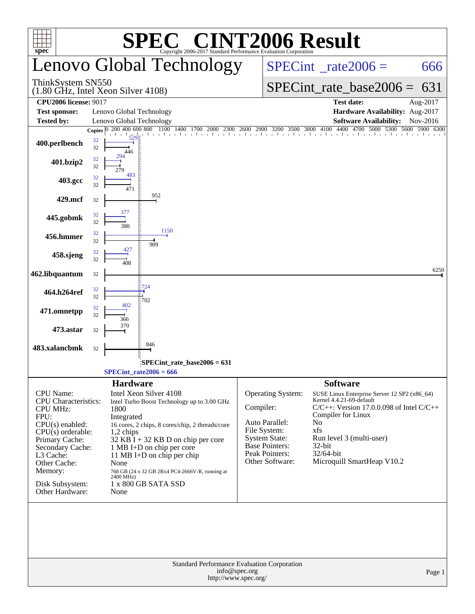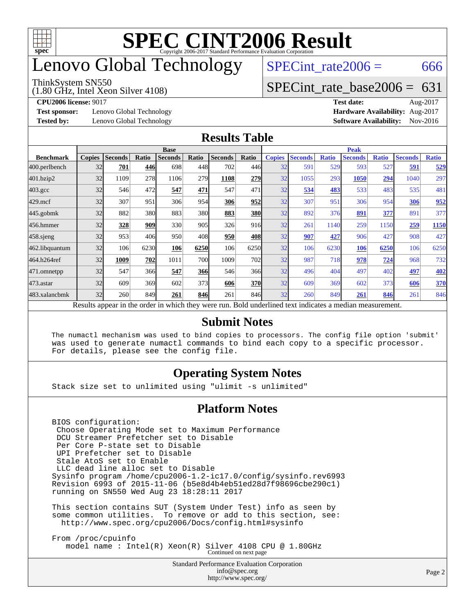

## enovo Global Technology

#### ThinkSystem SN550

(1.80 GHz, Intel Xeon Silver 4108)

 $SPECTnt_rate2006 = 666$ 

### [SPECint\\_rate\\_base2006 =](http://www.spec.org/auto/cpu2006/Docs/result-fields.html#SPECintratebase2006) 631

**[Test sponsor:](http://www.spec.org/auto/cpu2006/Docs/result-fields.html#Testsponsor)** Lenovo Global Technology **[Hardware Availability:](http://www.spec.org/auto/cpu2006/Docs/result-fields.html#HardwareAvailability)** Aug-2017

**[CPU2006 license:](http://www.spec.org/auto/cpu2006/Docs/result-fields.html#CPU2006license)** 9017 **[Test date:](http://www.spec.org/auto/cpu2006/Docs/result-fields.html#Testdate)** Aug-2017 **[Tested by:](http://www.spec.org/auto/cpu2006/Docs/result-fields.html#Testedby)** Lenovo Global Technology **[Software Availability:](http://www.spec.org/auto/cpu2006/Docs/result-fields.html#SoftwareAvailability)** Nov-2016

#### **[Results Table](http://www.spec.org/auto/cpu2006/Docs/result-fields.html#ResultsTable)**

|                  | <b>Base</b>   |                |              |                                                                                                          |       |                |            | <b>Peak</b>   |                |              |                |              |                |              |
|------------------|---------------|----------------|--------------|----------------------------------------------------------------------------------------------------------|-------|----------------|------------|---------------|----------------|--------------|----------------|--------------|----------------|--------------|
| <b>Benchmark</b> | <b>Copies</b> | <b>Seconds</b> | <b>Ratio</b> | <b>Seconds</b>                                                                                           | Ratio | <b>Seconds</b> | Ratio      | <b>Copies</b> | <b>Seconds</b> | <b>Ratio</b> | <b>Seconds</b> | <b>Ratio</b> | <b>Seconds</b> | <b>Ratio</b> |
| 400.perlbench    | 32            | 701            | 446          | 698                                                                                                      | 448   | 702            | 446        | 32            | 591            | 529          | 593            | 527          | 591            | 529          |
| 401.bzip2        | 32            | 1109           | 278          | 1106                                                                                                     | 279   | 1108           | 279        | 32            | 1055           | 293          | 1050           | 294          | 1040           | 297          |
| $403.\text{gcc}$ | 32            | 546            | 472          | 547                                                                                                      | 471   | 547            | 471        | 32            | 534            | 483          | 533            | 483          | 535            | 481          |
| $429$ .mcf       | 32            | 307            | 951          | 306                                                                                                      | 954   | 306            | 952        | 32            | 307            | 951          | 306            | 954          | 306            | 952          |
| $445$ .gobm $k$  | 32            | 882            | 380          | 883                                                                                                      | 380l  | 883            | 380        | 32            | 892            | 376          | 891            | 377          | 891            | 377          |
| 456.hmmer        | 32            | 328            | 909          | 330                                                                                                      | 905   | 326            | 916        | 32            | 261            | 1140         | 259            | 1150         | 259            | 1150         |
| $458$ .sjeng     | 32            | 953            | 406          | 950                                                                                                      | 408   | 950            | 408        | 32            | 907            | 427          | 906            | 427          | 908            | 427          |
| 462.libquantum   | 32            | 106            | 6230         | 106                                                                                                      | 6250  | 106            | 6250       | 32            | 106            | 6230         | 106            | 6250         | 106            | 6250         |
| 464.h264ref      | 32            | 1009           | 702          | 1011                                                                                                     | 700   | 1009           | 702        | 32            | 987            | 718          | 978            | 724          | 968            | 732          |
| 471.omnetpp      | 32            | 547            | 366          | 547                                                                                                      | 366   | 546            | 366        | 32            | 496            | 404          | 497            | 402          | 497            | <b>402</b>   |
| $473$ . astar    | 32            | 609            | 369          | 602                                                                                                      | 373   | 606            | <b>370</b> | 32            | 609            | 369          | 602            | 373          | 606            | 370          |
| 483.xalancbmk    | 32            | 260            | 849          | 261                                                                                                      | 846   | 261            | 846        | 32            | 260            | 849          | 261            | 846          | 261            | 846          |
|                  |               |                |              | Results appear in the order in which they were run. Bold underlined text indicates a median measurement. |       |                |            |               |                |              |                |              |                |              |

#### **[Submit Notes](http://www.spec.org/auto/cpu2006/Docs/result-fields.html#SubmitNotes)**

 The numactl mechanism was used to bind copies to processors. The config file option 'submit' was used to generate numactl commands to bind each copy to a specific processor. For details, please see the config file.

#### **[Operating System Notes](http://www.spec.org/auto/cpu2006/Docs/result-fields.html#OperatingSystemNotes)**

Stack size set to unlimited using "ulimit -s unlimited"

#### **[Platform Notes](http://www.spec.org/auto/cpu2006/Docs/result-fields.html#PlatformNotes)**

 BIOS configuration: Choose Operating Mode set to Maximum Performance DCU Streamer Prefetcher set to Disable Per Core P-state set to Disable UPI Prefetcher set to Disable Stale AtoS set to Enable LLC dead line alloc set to Disable Sysinfo program /home/cpu2006-1.2-ic17.0/config/sysinfo.rev6993 Revision 6993 of 2015-11-06 (b5e8d4b4eb51ed28d7f98696cbe290c1) running on SN550 Wed Aug 23 18:28:11 2017 This section contains SUT (System Under Test) info as seen by

 some common utilities. To remove or add to this section, see: <http://www.spec.org/cpu2006/Docs/config.html#sysinfo>

 From /proc/cpuinfo model name : Intel(R) Xeon(R) Silver 4108 CPU @ 1.80GHz Continued on next page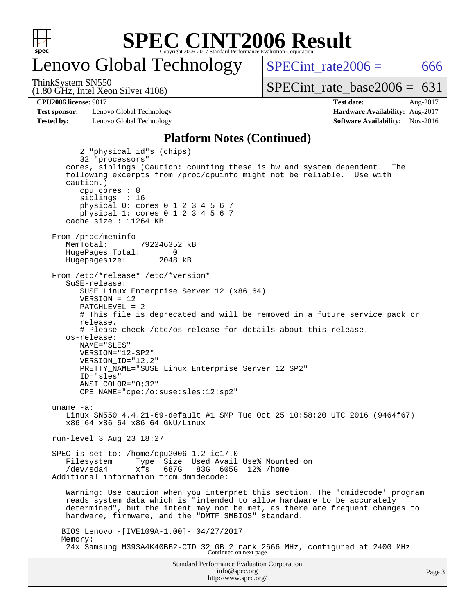

## enovo Global Technology

ThinkSystem SN550

(1.80 GHz, Intel Xeon Silver 4108)

SPECint rate $2006 = 666$ [SPECint\\_rate\\_base2006 =](http://www.spec.org/auto/cpu2006/Docs/result-fields.html#SPECintratebase2006)  $631$ 

**[Test sponsor:](http://www.spec.org/auto/cpu2006/Docs/result-fields.html#Testsponsor)** Lenovo Global Technology **[Hardware Availability:](http://www.spec.org/auto/cpu2006/Docs/result-fields.html#HardwareAvailability)** Aug-2017 **[Tested by:](http://www.spec.org/auto/cpu2006/Docs/result-fields.html#Testedby)** Lenovo Global Technology **[Software Availability:](http://www.spec.org/auto/cpu2006/Docs/result-fields.html#SoftwareAvailability)** Nov-2016

**[CPU2006 license:](http://www.spec.org/auto/cpu2006/Docs/result-fields.html#CPU2006license)** 9017 **[Test date:](http://www.spec.org/auto/cpu2006/Docs/result-fields.html#Testdate)** Aug-2017

#### **[Platform Notes \(Continued\)](http://www.spec.org/auto/cpu2006/Docs/result-fields.html#PlatformNotes)**

Standard Performance Evaluation Corporation [info@spec.org](mailto:info@spec.org) 2 "physical id"s (chips) 32 "processors" cores, siblings (Caution: counting these is hw and system dependent. The following excerpts from /proc/cpuinfo might not be reliable. Use with caution.) cpu cores : 8 siblings : 16 physical 0: cores 0 1 2 3 4 5 6 7 physical 1: cores 0 1 2 3 4 5 6 7 cache size : 11264 KB From /proc/meminfo MemTotal: 792246352 kB HugePages\_Total: 0<br>Hugepagesize: 2048 kB Hugepagesize: From /etc/\*release\* /etc/\*version\* SuSE-release: SUSE Linux Enterprise Server 12 (x86\_64) VERSION = 12 PATCHLEVEL = 2 # This file is deprecated and will be removed in a future service pack or release. # Please check /etc/os-release for details about this release. os-release: NAME="SLES" VERSION="12-SP2" VERSION\_ID="12.2" PRETTY\_NAME="SUSE Linux Enterprise Server 12 SP2" ID="sles" ANSI\_COLOR="0;32" CPE\_NAME="cpe:/o:suse:sles:12:sp2" uname -a: Linux SN550 4.4.21-69-default #1 SMP Tue Oct 25 10:58:20 UTC 2016 (9464f67) x86\_64 x86\_64 x86\_64 GNU/Linux run-level 3 Aug 23 18:27 SPEC is set to: /home/cpu2006-1.2-ic17.0 Filesystem Type Size Used Avail Use% Mounted on /dev/sda4 xfs 687G 83G 605G 12% /home Additional information from dmidecode: Warning: Use caution when you interpret this section. The 'dmidecode' program reads system data which is "intended to allow hardware to be accurately determined", but the intent may not be met, as there are frequent changes to hardware, firmware, and the "DMTF SMBIOS" standard. BIOS Lenovo -[IVE109A-1.00]- 04/27/2017 Memory: 24x Samsung M393A4K40BB2-CTD 32 GB 2 rank 2666 MHz, configured at 2400 MHz Continued on next page

<http://www.spec.org/>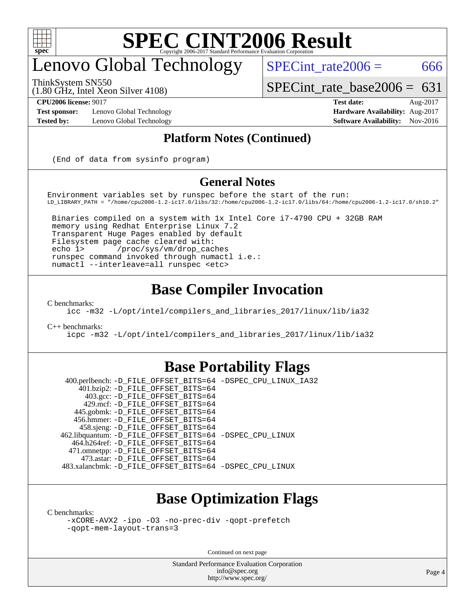

## enovo Global Technology

ThinkSystem SN550

(1.80 GHz, Intel Xeon Silver 4108)

 $SPECTnt_rate2006 = 666$ 

[SPECint\\_rate\\_base2006 =](http://www.spec.org/auto/cpu2006/Docs/result-fields.html#SPECintratebase2006)  $631$ 

**[Test sponsor:](http://www.spec.org/auto/cpu2006/Docs/result-fields.html#Testsponsor)** Lenovo Global Technology **[Hardware Availability:](http://www.spec.org/auto/cpu2006/Docs/result-fields.html#HardwareAvailability)** Aug-2017

**[CPU2006 license:](http://www.spec.org/auto/cpu2006/Docs/result-fields.html#CPU2006license)** 9017 **[Test date:](http://www.spec.org/auto/cpu2006/Docs/result-fields.html#Testdate)** Aug-2017 **[Tested by:](http://www.spec.org/auto/cpu2006/Docs/result-fields.html#Testedby)** Lenovo Global Technology **[Software Availability:](http://www.spec.org/auto/cpu2006/Docs/result-fields.html#SoftwareAvailability)** Nov-2016

#### **[Platform Notes \(Continued\)](http://www.spec.org/auto/cpu2006/Docs/result-fields.html#PlatformNotes)**

(End of data from sysinfo program)

#### **[General Notes](http://www.spec.org/auto/cpu2006/Docs/result-fields.html#GeneralNotes)**

Environment variables set by runspec before the start of the run: LD\_LIBRARY\_PATH = "/home/cpu2006-1.2-ic17.0/libs/32:/home/cpu2006-1.2-ic17.0/libs/64:/home/cpu2006-1.2-ic17.0/sh10.2"

 Binaries compiled on a system with 1x Intel Core i7-4790 CPU + 32GB RAM memory using Redhat Enterprise Linux 7.2 Transparent Huge Pages enabled by default Filesystem page cache cleared with: echo 1> /proc/sys/vm/drop\_caches runspec command invoked through numactl i.e.: numactl --interleave=all runspec <etc>

### **[Base Compiler Invocation](http://www.spec.org/auto/cpu2006/Docs/result-fields.html#BaseCompilerInvocation)**

[C benchmarks](http://www.spec.org/auto/cpu2006/Docs/result-fields.html#Cbenchmarks):

[icc -m32 -L/opt/intel/compilers\\_and\\_libraries\\_2017/linux/lib/ia32](http://www.spec.org/cpu2006/results/res2017q4/cpu2006-20170918-50056.flags.html#user_CCbase_intel_icc_c29f3ff5a7ed067b11e4ec10a03f03ae)

[C++ benchmarks:](http://www.spec.org/auto/cpu2006/Docs/result-fields.html#CXXbenchmarks)

[icpc -m32 -L/opt/intel/compilers\\_and\\_libraries\\_2017/linux/lib/ia32](http://www.spec.org/cpu2006/results/res2017q4/cpu2006-20170918-50056.flags.html#user_CXXbase_intel_icpc_8c35c7808b62dab9ae41a1aa06361b6b)

### **[Base Portability Flags](http://www.spec.org/auto/cpu2006/Docs/result-fields.html#BasePortabilityFlags)**

 400.perlbench: [-D\\_FILE\\_OFFSET\\_BITS=64](http://www.spec.org/cpu2006/results/res2017q4/cpu2006-20170918-50056.flags.html#user_basePORTABILITY400_perlbench_file_offset_bits_64_438cf9856305ebd76870a2c6dc2689ab) [-DSPEC\\_CPU\\_LINUX\\_IA32](http://www.spec.org/cpu2006/results/res2017q4/cpu2006-20170918-50056.flags.html#b400.perlbench_baseCPORTABILITY_DSPEC_CPU_LINUX_IA32) 401.bzip2: [-D\\_FILE\\_OFFSET\\_BITS=64](http://www.spec.org/cpu2006/results/res2017q4/cpu2006-20170918-50056.flags.html#user_basePORTABILITY401_bzip2_file_offset_bits_64_438cf9856305ebd76870a2c6dc2689ab) 403.gcc: [-D\\_FILE\\_OFFSET\\_BITS=64](http://www.spec.org/cpu2006/results/res2017q4/cpu2006-20170918-50056.flags.html#user_basePORTABILITY403_gcc_file_offset_bits_64_438cf9856305ebd76870a2c6dc2689ab) 429.mcf: [-D\\_FILE\\_OFFSET\\_BITS=64](http://www.spec.org/cpu2006/results/res2017q4/cpu2006-20170918-50056.flags.html#user_basePORTABILITY429_mcf_file_offset_bits_64_438cf9856305ebd76870a2c6dc2689ab) 445.gobmk: [-D\\_FILE\\_OFFSET\\_BITS=64](http://www.spec.org/cpu2006/results/res2017q4/cpu2006-20170918-50056.flags.html#user_basePORTABILITY445_gobmk_file_offset_bits_64_438cf9856305ebd76870a2c6dc2689ab) 456.hmmer: [-D\\_FILE\\_OFFSET\\_BITS=64](http://www.spec.org/cpu2006/results/res2017q4/cpu2006-20170918-50056.flags.html#user_basePORTABILITY456_hmmer_file_offset_bits_64_438cf9856305ebd76870a2c6dc2689ab) 458.sjeng: [-D\\_FILE\\_OFFSET\\_BITS=64](http://www.spec.org/cpu2006/results/res2017q4/cpu2006-20170918-50056.flags.html#user_basePORTABILITY458_sjeng_file_offset_bits_64_438cf9856305ebd76870a2c6dc2689ab) 462.libquantum: [-D\\_FILE\\_OFFSET\\_BITS=64](http://www.spec.org/cpu2006/results/res2017q4/cpu2006-20170918-50056.flags.html#user_basePORTABILITY462_libquantum_file_offset_bits_64_438cf9856305ebd76870a2c6dc2689ab) [-DSPEC\\_CPU\\_LINUX](http://www.spec.org/cpu2006/results/res2017q4/cpu2006-20170918-50056.flags.html#b462.libquantum_baseCPORTABILITY_DSPEC_CPU_LINUX) 464.h264ref: [-D\\_FILE\\_OFFSET\\_BITS=64](http://www.spec.org/cpu2006/results/res2017q4/cpu2006-20170918-50056.flags.html#user_basePORTABILITY464_h264ref_file_offset_bits_64_438cf9856305ebd76870a2c6dc2689ab) 471.omnetpp: [-D\\_FILE\\_OFFSET\\_BITS=64](http://www.spec.org/cpu2006/results/res2017q4/cpu2006-20170918-50056.flags.html#user_basePORTABILITY471_omnetpp_file_offset_bits_64_438cf9856305ebd76870a2c6dc2689ab) 473.astar: [-D\\_FILE\\_OFFSET\\_BITS=64](http://www.spec.org/cpu2006/results/res2017q4/cpu2006-20170918-50056.flags.html#user_basePORTABILITY473_astar_file_offset_bits_64_438cf9856305ebd76870a2c6dc2689ab) 483.xalancbmk: [-D\\_FILE\\_OFFSET\\_BITS=64](http://www.spec.org/cpu2006/results/res2017q4/cpu2006-20170918-50056.flags.html#user_basePORTABILITY483_xalancbmk_file_offset_bits_64_438cf9856305ebd76870a2c6dc2689ab) [-DSPEC\\_CPU\\_LINUX](http://www.spec.org/cpu2006/results/res2017q4/cpu2006-20170918-50056.flags.html#b483.xalancbmk_baseCXXPORTABILITY_DSPEC_CPU_LINUX)

## **[Base Optimization Flags](http://www.spec.org/auto/cpu2006/Docs/result-fields.html#BaseOptimizationFlags)**

[C benchmarks](http://www.spec.org/auto/cpu2006/Docs/result-fields.html#Cbenchmarks):

[-xCORE-AVX2](http://www.spec.org/cpu2006/results/res2017q4/cpu2006-20170918-50056.flags.html#user_CCbase_f-xCORE-AVX2) [-ipo](http://www.spec.org/cpu2006/results/res2017q4/cpu2006-20170918-50056.flags.html#user_CCbase_f-ipo) [-O3](http://www.spec.org/cpu2006/results/res2017q4/cpu2006-20170918-50056.flags.html#user_CCbase_f-O3) [-no-prec-div](http://www.spec.org/cpu2006/results/res2017q4/cpu2006-20170918-50056.flags.html#user_CCbase_f-no-prec-div) [-qopt-prefetch](http://www.spec.org/cpu2006/results/res2017q4/cpu2006-20170918-50056.flags.html#user_CCbase_f-qopt-prefetch) [-qopt-mem-layout-trans=3](http://www.spec.org/cpu2006/results/res2017q4/cpu2006-20170918-50056.flags.html#user_CCbase_f-qopt-mem-layout-trans_170f5be61cd2cedc9b54468c59262d5d)

Continued on next page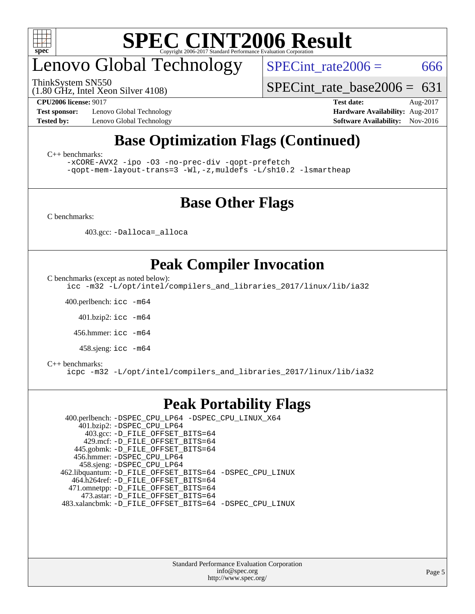

## enovo Global Technology

ThinkSystem SN550

 $SPECTnt_rate2006 = 666$ 

(1.80 GHz, Intel Xeon Silver 4108)

[SPECint\\_rate\\_base2006 =](http://www.spec.org/auto/cpu2006/Docs/result-fields.html#SPECintratebase2006)  $631$ 

**[Test sponsor:](http://www.spec.org/auto/cpu2006/Docs/result-fields.html#Testsponsor)** Lenovo Global Technology **[Hardware Availability:](http://www.spec.org/auto/cpu2006/Docs/result-fields.html#HardwareAvailability)** Aug-2017

**[CPU2006 license:](http://www.spec.org/auto/cpu2006/Docs/result-fields.html#CPU2006license)** 9017 **[Test date:](http://www.spec.org/auto/cpu2006/Docs/result-fields.html#Testdate)** Aug-2017 **[Tested by:](http://www.spec.org/auto/cpu2006/Docs/result-fields.html#Testedby)** Lenovo Global Technology **[Software Availability:](http://www.spec.org/auto/cpu2006/Docs/result-fields.html#SoftwareAvailability)** Nov-2016

## **[Base Optimization Flags \(Continued\)](http://www.spec.org/auto/cpu2006/Docs/result-fields.html#BaseOptimizationFlags)**

[C++ benchmarks:](http://www.spec.org/auto/cpu2006/Docs/result-fields.html#CXXbenchmarks)

[-xCORE-AVX2](http://www.spec.org/cpu2006/results/res2017q4/cpu2006-20170918-50056.flags.html#user_CXXbase_f-xCORE-AVX2) [-ipo](http://www.spec.org/cpu2006/results/res2017q4/cpu2006-20170918-50056.flags.html#user_CXXbase_f-ipo) [-O3](http://www.spec.org/cpu2006/results/res2017q4/cpu2006-20170918-50056.flags.html#user_CXXbase_f-O3) [-no-prec-div](http://www.spec.org/cpu2006/results/res2017q4/cpu2006-20170918-50056.flags.html#user_CXXbase_f-no-prec-div) [-qopt-prefetch](http://www.spec.org/cpu2006/results/res2017q4/cpu2006-20170918-50056.flags.html#user_CXXbase_f-qopt-prefetch) [-qopt-mem-layout-trans=3](http://www.spec.org/cpu2006/results/res2017q4/cpu2006-20170918-50056.flags.html#user_CXXbase_f-qopt-mem-layout-trans_170f5be61cd2cedc9b54468c59262d5d) [-Wl,-z,muldefs](http://www.spec.org/cpu2006/results/res2017q4/cpu2006-20170918-50056.flags.html#user_CXXbase_link_force_multiple1_74079c344b956b9658436fd1b6dd3a8a) [-L/sh10.2 -lsmartheap](http://www.spec.org/cpu2006/results/res2017q4/cpu2006-20170918-50056.flags.html#user_CXXbase_SmartHeap_b831f2d313e2fffa6dfe3f00ffc1f1c0)

### **[Base Other Flags](http://www.spec.org/auto/cpu2006/Docs/result-fields.html#BaseOtherFlags)**

[C benchmarks](http://www.spec.org/auto/cpu2006/Docs/result-fields.html#Cbenchmarks):

403.gcc: [-Dalloca=\\_alloca](http://www.spec.org/cpu2006/results/res2017q4/cpu2006-20170918-50056.flags.html#b403.gcc_baseEXTRA_CFLAGS_Dalloca_be3056838c12de2578596ca5467af7f3)

## **[Peak Compiler Invocation](http://www.spec.org/auto/cpu2006/Docs/result-fields.html#PeakCompilerInvocation)**

[C benchmarks \(except as noted below\)](http://www.spec.org/auto/cpu2006/Docs/result-fields.html#Cbenchmarksexceptasnotedbelow):

[icc -m32 -L/opt/intel/compilers\\_and\\_libraries\\_2017/linux/lib/ia32](http://www.spec.org/cpu2006/results/res2017q4/cpu2006-20170918-50056.flags.html#user_CCpeak_intel_icc_c29f3ff5a7ed067b11e4ec10a03f03ae)

400.perlbench: [icc -m64](http://www.spec.org/cpu2006/results/res2017q4/cpu2006-20170918-50056.flags.html#user_peakCCLD400_perlbench_intel_icc_64bit_bda6cc9af1fdbb0edc3795bac97ada53)

401.bzip2: [icc -m64](http://www.spec.org/cpu2006/results/res2017q4/cpu2006-20170918-50056.flags.html#user_peakCCLD401_bzip2_intel_icc_64bit_bda6cc9af1fdbb0edc3795bac97ada53)

456.hmmer: [icc -m64](http://www.spec.org/cpu2006/results/res2017q4/cpu2006-20170918-50056.flags.html#user_peakCCLD456_hmmer_intel_icc_64bit_bda6cc9af1fdbb0edc3795bac97ada53)

458.sjeng: [icc -m64](http://www.spec.org/cpu2006/results/res2017q4/cpu2006-20170918-50056.flags.html#user_peakCCLD458_sjeng_intel_icc_64bit_bda6cc9af1fdbb0edc3795bac97ada53)

#### [C++ benchmarks:](http://www.spec.org/auto/cpu2006/Docs/result-fields.html#CXXbenchmarks)

[icpc -m32 -L/opt/intel/compilers\\_and\\_libraries\\_2017/linux/lib/ia32](http://www.spec.org/cpu2006/results/res2017q4/cpu2006-20170918-50056.flags.html#user_CXXpeak_intel_icpc_8c35c7808b62dab9ae41a1aa06361b6b)

### **[Peak Portability Flags](http://www.spec.org/auto/cpu2006/Docs/result-fields.html#PeakPortabilityFlags)**

 400.perlbench: [-DSPEC\\_CPU\\_LP64](http://www.spec.org/cpu2006/results/res2017q4/cpu2006-20170918-50056.flags.html#b400.perlbench_peakCPORTABILITY_DSPEC_CPU_LP64) [-DSPEC\\_CPU\\_LINUX\\_X64](http://www.spec.org/cpu2006/results/res2017q4/cpu2006-20170918-50056.flags.html#b400.perlbench_peakCPORTABILITY_DSPEC_CPU_LINUX_X64) 401.bzip2: [-DSPEC\\_CPU\\_LP64](http://www.spec.org/cpu2006/results/res2017q4/cpu2006-20170918-50056.flags.html#suite_peakCPORTABILITY401_bzip2_DSPEC_CPU_LP64) 403.gcc: [-D\\_FILE\\_OFFSET\\_BITS=64](http://www.spec.org/cpu2006/results/res2017q4/cpu2006-20170918-50056.flags.html#user_peakPORTABILITY403_gcc_file_offset_bits_64_438cf9856305ebd76870a2c6dc2689ab) 429.mcf: [-D\\_FILE\\_OFFSET\\_BITS=64](http://www.spec.org/cpu2006/results/res2017q4/cpu2006-20170918-50056.flags.html#user_peakPORTABILITY429_mcf_file_offset_bits_64_438cf9856305ebd76870a2c6dc2689ab) 445.gobmk: [-D\\_FILE\\_OFFSET\\_BITS=64](http://www.spec.org/cpu2006/results/res2017q4/cpu2006-20170918-50056.flags.html#user_peakPORTABILITY445_gobmk_file_offset_bits_64_438cf9856305ebd76870a2c6dc2689ab) 456.hmmer: [-DSPEC\\_CPU\\_LP64](http://www.spec.org/cpu2006/results/res2017q4/cpu2006-20170918-50056.flags.html#suite_peakCPORTABILITY456_hmmer_DSPEC_CPU_LP64) 458.sjeng: [-DSPEC\\_CPU\\_LP64](http://www.spec.org/cpu2006/results/res2017q4/cpu2006-20170918-50056.flags.html#suite_peakCPORTABILITY458_sjeng_DSPEC_CPU_LP64) 462.libquantum: [-D\\_FILE\\_OFFSET\\_BITS=64](http://www.spec.org/cpu2006/results/res2017q4/cpu2006-20170918-50056.flags.html#user_peakPORTABILITY462_libquantum_file_offset_bits_64_438cf9856305ebd76870a2c6dc2689ab) [-DSPEC\\_CPU\\_LINUX](http://www.spec.org/cpu2006/results/res2017q4/cpu2006-20170918-50056.flags.html#b462.libquantum_peakCPORTABILITY_DSPEC_CPU_LINUX) 464.h264ref: [-D\\_FILE\\_OFFSET\\_BITS=64](http://www.spec.org/cpu2006/results/res2017q4/cpu2006-20170918-50056.flags.html#user_peakPORTABILITY464_h264ref_file_offset_bits_64_438cf9856305ebd76870a2c6dc2689ab) 471.omnetpp: [-D\\_FILE\\_OFFSET\\_BITS=64](http://www.spec.org/cpu2006/results/res2017q4/cpu2006-20170918-50056.flags.html#user_peakPORTABILITY471_omnetpp_file_offset_bits_64_438cf9856305ebd76870a2c6dc2689ab) 473.astar: [-D\\_FILE\\_OFFSET\\_BITS=64](http://www.spec.org/cpu2006/results/res2017q4/cpu2006-20170918-50056.flags.html#user_peakPORTABILITY473_astar_file_offset_bits_64_438cf9856305ebd76870a2c6dc2689ab) 483.xalancbmk: [-D\\_FILE\\_OFFSET\\_BITS=64](http://www.spec.org/cpu2006/results/res2017q4/cpu2006-20170918-50056.flags.html#user_peakPORTABILITY483_xalancbmk_file_offset_bits_64_438cf9856305ebd76870a2c6dc2689ab) [-DSPEC\\_CPU\\_LINUX](http://www.spec.org/cpu2006/results/res2017q4/cpu2006-20170918-50056.flags.html#b483.xalancbmk_peakCXXPORTABILITY_DSPEC_CPU_LINUX)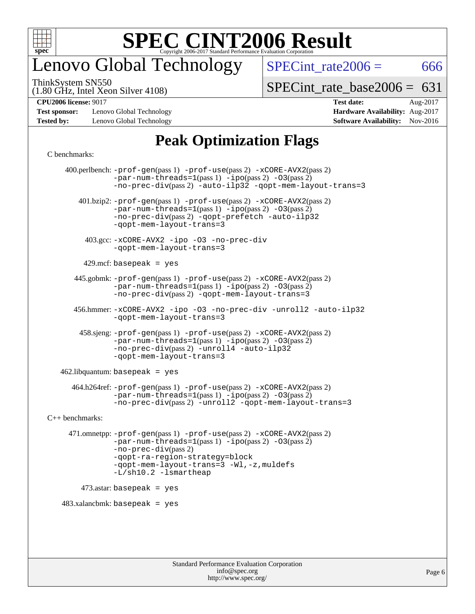

## enovo Global Technology

 $SPECTnt_rate2006 = 666$ 

(1.80 GHz, Intel Xeon Silver 4108) ThinkSystem SN550

[SPECint\\_rate\\_base2006 =](http://www.spec.org/auto/cpu2006/Docs/result-fields.html#SPECintratebase2006)  $631$ 

**[Test sponsor:](http://www.spec.org/auto/cpu2006/Docs/result-fields.html#Testsponsor)** Lenovo Global Technology **[Hardware Availability:](http://www.spec.org/auto/cpu2006/Docs/result-fields.html#HardwareAvailability)** Aug-2017 **[Tested by:](http://www.spec.org/auto/cpu2006/Docs/result-fields.html#Testedby)** Lenovo Global Technology **[Software Availability:](http://www.spec.org/auto/cpu2006/Docs/result-fields.html#SoftwareAvailability)** Nov-2016

**[CPU2006 license:](http://www.spec.org/auto/cpu2006/Docs/result-fields.html#CPU2006license)** 9017 **[Test date:](http://www.spec.org/auto/cpu2006/Docs/result-fields.html#Testdate)** Aug-2017

## **[Peak Optimization Flags](http://www.spec.org/auto/cpu2006/Docs/result-fields.html#PeakOptimizationFlags)**

#### [C benchmarks](http://www.spec.org/auto/cpu2006/Docs/result-fields.html#Cbenchmarks):

 400.perlbench: [-prof-gen](http://www.spec.org/cpu2006/results/res2017q4/cpu2006-20170918-50056.flags.html#user_peakPASS1_CFLAGSPASS1_LDCFLAGS400_perlbench_prof_gen_e43856698f6ca7b7e442dfd80e94a8fc)(pass 1) [-prof-use](http://www.spec.org/cpu2006/results/res2017q4/cpu2006-20170918-50056.flags.html#user_peakPASS2_CFLAGSPASS2_LDCFLAGS400_perlbench_prof_use_bccf7792157ff70d64e32fe3e1250b55)(pass 2) [-xCORE-AVX2](http://www.spec.org/cpu2006/results/res2017q4/cpu2006-20170918-50056.flags.html#user_peakPASS2_CFLAGSPASS2_LDCFLAGS400_perlbench_f-xCORE-AVX2)(pass 2)  $-par-num-threads=1(pass 1) -ipo(pass 2) -O3(pass 2)$  $-par-num-threads=1(pass 1) -ipo(pass 2) -O3(pass 2)$  $-par-num-threads=1(pass 1) -ipo(pass 2) -O3(pass 2)$  $-par-num-threads=1(pass 1) -ipo(pass 2) -O3(pass 2)$  $-par-num-threads=1(pass 1) -ipo(pass 2) -O3(pass 2)$  $-par-num-threads=1(pass 1) -ipo(pass 2) -O3(pass 2)$ [-no-prec-div](http://www.spec.org/cpu2006/results/res2017q4/cpu2006-20170918-50056.flags.html#user_peakPASS2_CFLAGSPASS2_LDCFLAGS400_perlbench_f-no-prec-div)(pass 2) [-auto-ilp32](http://www.spec.org/cpu2006/results/res2017q4/cpu2006-20170918-50056.flags.html#user_peakCOPTIMIZE400_perlbench_f-auto-ilp32) [-qopt-mem-layout-trans=3](http://www.spec.org/cpu2006/results/res2017q4/cpu2006-20170918-50056.flags.html#user_peakCOPTIMIZE400_perlbench_f-qopt-mem-layout-trans_170f5be61cd2cedc9b54468c59262d5d) 401.bzip2: [-prof-gen](http://www.spec.org/cpu2006/results/res2017q4/cpu2006-20170918-50056.flags.html#user_peakPASS1_CFLAGSPASS1_LDCFLAGS401_bzip2_prof_gen_e43856698f6ca7b7e442dfd80e94a8fc)(pass 1) [-prof-use](http://www.spec.org/cpu2006/results/res2017q4/cpu2006-20170918-50056.flags.html#user_peakPASS2_CFLAGSPASS2_LDCFLAGS401_bzip2_prof_use_bccf7792157ff70d64e32fe3e1250b55)(pass 2) [-xCORE-AVX2](http://www.spec.org/cpu2006/results/res2017q4/cpu2006-20170918-50056.flags.html#user_peakPASS2_CFLAGSPASS2_LDCFLAGS401_bzip2_f-xCORE-AVX2)(pass 2) [-par-num-threads=1](http://www.spec.org/cpu2006/results/res2017q4/cpu2006-20170918-50056.flags.html#user_peakPASS1_CFLAGSPASS1_LDCFLAGS401_bzip2_par_num_threads_786a6ff141b4e9e90432e998842df6c2)(pass 1) [-ipo](http://www.spec.org/cpu2006/results/res2017q4/cpu2006-20170918-50056.flags.html#user_peakPASS2_CFLAGSPASS2_LDCFLAGS401_bzip2_f-ipo)(pass 2) [-O3](http://www.spec.org/cpu2006/results/res2017q4/cpu2006-20170918-50056.flags.html#user_peakPASS2_CFLAGSPASS2_LDCFLAGS401_bzip2_f-O3)(pass 2) [-no-prec-div](http://www.spec.org/cpu2006/results/res2017q4/cpu2006-20170918-50056.flags.html#user_peakPASS2_CFLAGSPASS2_LDCFLAGS401_bzip2_f-no-prec-div)(pass 2) [-qopt-prefetch](http://www.spec.org/cpu2006/results/res2017q4/cpu2006-20170918-50056.flags.html#user_peakCOPTIMIZE401_bzip2_f-qopt-prefetch) [-auto-ilp32](http://www.spec.org/cpu2006/results/res2017q4/cpu2006-20170918-50056.flags.html#user_peakCOPTIMIZE401_bzip2_f-auto-ilp32) [-qopt-mem-layout-trans=3](http://www.spec.org/cpu2006/results/res2017q4/cpu2006-20170918-50056.flags.html#user_peakCOPTIMIZE401_bzip2_f-qopt-mem-layout-trans_170f5be61cd2cedc9b54468c59262d5d) 403.gcc: [-xCORE-AVX2](http://www.spec.org/cpu2006/results/res2017q4/cpu2006-20170918-50056.flags.html#user_peakOPTIMIZE403_gcc_f-xCORE-AVX2) [-ipo](http://www.spec.org/cpu2006/results/res2017q4/cpu2006-20170918-50056.flags.html#user_peakOPTIMIZE403_gcc_f-ipo) [-O3](http://www.spec.org/cpu2006/results/res2017q4/cpu2006-20170918-50056.flags.html#user_peakOPTIMIZE403_gcc_f-O3) [-no-prec-div](http://www.spec.org/cpu2006/results/res2017q4/cpu2006-20170918-50056.flags.html#user_peakOPTIMIZE403_gcc_f-no-prec-div) [-qopt-mem-layout-trans=3](http://www.spec.org/cpu2006/results/res2017q4/cpu2006-20170918-50056.flags.html#user_peakCOPTIMIZE403_gcc_f-qopt-mem-layout-trans_170f5be61cd2cedc9b54468c59262d5d)  $429$ .mcf: basepeak = yes 445.gobmk: [-prof-gen](http://www.spec.org/cpu2006/results/res2017q4/cpu2006-20170918-50056.flags.html#user_peakPASS1_CFLAGSPASS1_LDCFLAGS445_gobmk_prof_gen_e43856698f6ca7b7e442dfd80e94a8fc)(pass 1) [-prof-use](http://www.spec.org/cpu2006/results/res2017q4/cpu2006-20170918-50056.flags.html#user_peakPASS2_CFLAGSPASS2_LDCFLAGSPASS2_LDFLAGS445_gobmk_prof_use_bccf7792157ff70d64e32fe3e1250b55)(pass 2) [-xCORE-AVX2](http://www.spec.org/cpu2006/results/res2017q4/cpu2006-20170918-50056.flags.html#user_peakPASS2_CFLAGSPASS2_LDCFLAGSPASS2_LDFLAGS445_gobmk_f-xCORE-AVX2)(pass 2)  $-par-num-threads=1(pass 1) -ipo(pass 2) -O3(pass 2)$  $-par-num-threads=1(pass 1) -ipo(pass 2) -O3(pass 2)$  $-par-num-threads=1(pass 1) -ipo(pass 2) -O3(pass 2)$  $-par-num-threads=1(pass 1) -ipo(pass 2) -O3(pass 2)$  $-par-num-threads=1(pass 1) -ipo(pass 2) -O3(pass 2)$  $-par-num-threads=1(pass 1) -ipo(pass 2) -O3(pass 2)$ [-no-prec-div](http://www.spec.org/cpu2006/results/res2017q4/cpu2006-20170918-50056.flags.html#user_peakPASS2_LDCFLAGS445_gobmk_f-no-prec-div)(pass 2) [-qopt-mem-layout-trans=3](http://www.spec.org/cpu2006/results/res2017q4/cpu2006-20170918-50056.flags.html#user_peakCOPTIMIZE445_gobmk_f-qopt-mem-layout-trans_170f5be61cd2cedc9b54468c59262d5d) 456.hmmer: [-xCORE-AVX2](http://www.spec.org/cpu2006/results/res2017q4/cpu2006-20170918-50056.flags.html#user_peakOPTIMIZE456_hmmer_f-xCORE-AVX2) [-ipo](http://www.spec.org/cpu2006/results/res2017q4/cpu2006-20170918-50056.flags.html#user_peakOPTIMIZE456_hmmer_f-ipo) [-O3](http://www.spec.org/cpu2006/results/res2017q4/cpu2006-20170918-50056.flags.html#user_peakOPTIMIZE456_hmmer_f-O3) [-no-prec-div](http://www.spec.org/cpu2006/results/res2017q4/cpu2006-20170918-50056.flags.html#user_peakOPTIMIZE456_hmmer_f-no-prec-div) [-unroll2](http://www.spec.org/cpu2006/results/res2017q4/cpu2006-20170918-50056.flags.html#user_peakCOPTIMIZE456_hmmer_f-unroll_784dae83bebfb236979b41d2422d7ec2) [-auto-ilp32](http://www.spec.org/cpu2006/results/res2017q4/cpu2006-20170918-50056.flags.html#user_peakCOPTIMIZE456_hmmer_f-auto-ilp32) [-qopt-mem-layout-trans=3](http://www.spec.org/cpu2006/results/res2017q4/cpu2006-20170918-50056.flags.html#user_peakCOPTIMIZE456_hmmer_f-qopt-mem-layout-trans_170f5be61cd2cedc9b54468c59262d5d) 458.sjeng: [-prof-gen](http://www.spec.org/cpu2006/results/res2017q4/cpu2006-20170918-50056.flags.html#user_peakPASS1_CFLAGSPASS1_LDCFLAGS458_sjeng_prof_gen_e43856698f6ca7b7e442dfd80e94a8fc)(pass 1) [-prof-use](http://www.spec.org/cpu2006/results/res2017q4/cpu2006-20170918-50056.flags.html#user_peakPASS2_CFLAGSPASS2_LDCFLAGS458_sjeng_prof_use_bccf7792157ff70d64e32fe3e1250b55)(pass 2) [-xCORE-AVX2](http://www.spec.org/cpu2006/results/res2017q4/cpu2006-20170918-50056.flags.html#user_peakPASS2_CFLAGSPASS2_LDCFLAGS458_sjeng_f-xCORE-AVX2)(pass 2)  $-par-num-threads=1(pass 1) -ipo(pass 2) -O3(pass 2)$  $-par-num-threads=1(pass 1) -ipo(pass 2) -O3(pass 2)$  $-par-num-threads=1(pass 1) -ipo(pass 2) -O3(pass 2)$  $-par-num-threads=1(pass 1) -ipo(pass 2) -O3(pass 2)$  $-par-num-threads=1(pass 1) -ipo(pass 2) -O3(pass 2)$  $-par-num-threads=1(pass 1) -ipo(pass 2) -O3(pass 2)$ [-no-prec-div](http://www.spec.org/cpu2006/results/res2017q4/cpu2006-20170918-50056.flags.html#user_peakPASS2_CFLAGSPASS2_LDCFLAGS458_sjeng_f-no-prec-div)(pass 2) [-unroll4](http://www.spec.org/cpu2006/results/res2017q4/cpu2006-20170918-50056.flags.html#user_peakCOPTIMIZE458_sjeng_f-unroll_4e5e4ed65b7fd20bdcd365bec371b81f) [-auto-ilp32](http://www.spec.org/cpu2006/results/res2017q4/cpu2006-20170918-50056.flags.html#user_peakCOPTIMIZE458_sjeng_f-auto-ilp32) [-qopt-mem-layout-trans=3](http://www.spec.org/cpu2006/results/res2017q4/cpu2006-20170918-50056.flags.html#user_peakCOPTIMIZE458_sjeng_f-qopt-mem-layout-trans_170f5be61cd2cedc9b54468c59262d5d)  $462$ .libquantum: basepeak = yes 464.h264ref: [-prof-gen](http://www.spec.org/cpu2006/results/res2017q4/cpu2006-20170918-50056.flags.html#user_peakPASS1_CFLAGSPASS1_LDCFLAGS464_h264ref_prof_gen_e43856698f6ca7b7e442dfd80e94a8fc)(pass 1) [-prof-use](http://www.spec.org/cpu2006/results/res2017q4/cpu2006-20170918-50056.flags.html#user_peakPASS2_CFLAGSPASS2_LDCFLAGS464_h264ref_prof_use_bccf7792157ff70d64e32fe3e1250b55)(pass 2) [-xCORE-AVX2](http://www.spec.org/cpu2006/results/res2017q4/cpu2006-20170918-50056.flags.html#user_peakPASS2_CFLAGSPASS2_LDCFLAGS464_h264ref_f-xCORE-AVX2)(pass 2)  $-par-num-threads=1(pass 1) -ipo(pass 2) -O3(pass 2)$  $-par-num-threads=1(pass 1) -ipo(pass 2) -O3(pass 2)$  $-par-num-threads=1(pass 1) -ipo(pass 2) -O3(pass 2)$  $-par-num-threads=1(pass 1) -ipo(pass 2) -O3(pass 2)$  $-par-num-threads=1(pass 1) -ipo(pass 2) -O3(pass 2)$  $-par-num-threads=1(pass 1) -ipo(pass 2) -O3(pass 2)$ [-no-prec-div](http://www.spec.org/cpu2006/results/res2017q4/cpu2006-20170918-50056.flags.html#user_peakPASS2_CFLAGSPASS2_LDCFLAGS464_h264ref_f-no-prec-div)(pass 2) [-unroll2](http://www.spec.org/cpu2006/results/res2017q4/cpu2006-20170918-50056.flags.html#user_peakCOPTIMIZE464_h264ref_f-unroll_784dae83bebfb236979b41d2422d7ec2) [-qopt-mem-layout-trans=3](http://www.spec.org/cpu2006/results/res2017q4/cpu2006-20170918-50056.flags.html#user_peakCOPTIMIZE464_h264ref_f-qopt-mem-layout-trans_170f5be61cd2cedc9b54468c59262d5d) [C++ benchmarks:](http://www.spec.org/auto/cpu2006/Docs/result-fields.html#CXXbenchmarks) 471.omnetpp: [-prof-gen](http://www.spec.org/cpu2006/results/res2017q4/cpu2006-20170918-50056.flags.html#user_peakPASS1_CXXFLAGSPASS1_LDCXXFLAGS471_omnetpp_prof_gen_e43856698f6ca7b7e442dfd80e94a8fc)(pass 1) [-prof-use](http://www.spec.org/cpu2006/results/res2017q4/cpu2006-20170918-50056.flags.html#user_peakPASS2_CXXFLAGSPASS2_LDCXXFLAGS471_omnetpp_prof_use_bccf7792157ff70d64e32fe3e1250b55)(pass 2) [-xCORE-AVX2](http://www.spec.org/cpu2006/results/res2017q4/cpu2006-20170918-50056.flags.html#user_peakPASS2_CXXFLAGSPASS2_LDCXXFLAGS471_omnetpp_f-xCORE-AVX2)(pass 2)  $-par-num-threads=1(pass 1) -ipo(pass 2) -O3(pass 2)$  $-par-num-threads=1(pass 1) -ipo(pass 2) -O3(pass 2)$  $-par-num-threads=1(pass 1) -ipo(pass 2) -O3(pass 2)$  $-par-num-threads=1(pass 1) -ipo(pass 2) -O3(pass 2)$  $-par-num-threads=1(pass 1) -ipo(pass 2) -O3(pass 2)$  $-par-num-threads=1(pass 1) -ipo(pass 2) -O3(pass 2)$ [-no-prec-div](http://www.spec.org/cpu2006/results/res2017q4/cpu2006-20170918-50056.flags.html#user_peakPASS2_CXXFLAGSPASS2_LDCXXFLAGS471_omnetpp_f-no-prec-div)(pass 2) [-qopt-ra-region-strategy=block](http://www.spec.org/cpu2006/results/res2017q4/cpu2006-20170918-50056.flags.html#user_peakCXXOPTIMIZE471_omnetpp_f-qopt-ra-region-strategy_430aa8f7c220cbde92ae827fa8d9be32)  [-qopt-mem-layout-trans=3](http://www.spec.org/cpu2006/results/res2017q4/cpu2006-20170918-50056.flags.html#user_peakCXXOPTIMIZE471_omnetpp_f-qopt-mem-layout-trans_170f5be61cd2cedc9b54468c59262d5d) [-Wl,-z,muldefs](http://www.spec.org/cpu2006/results/res2017q4/cpu2006-20170918-50056.flags.html#user_peakEXTRA_LDFLAGS471_omnetpp_link_force_multiple1_74079c344b956b9658436fd1b6dd3a8a) [-L/sh10.2 -lsmartheap](http://www.spec.org/cpu2006/results/res2017q4/cpu2006-20170918-50056.flags.html#user_peakEXTRA_LIBS471_omnetpp_SmartHeap_b831f2d313e2fffa6dfe3f00ffc1f1c0) 473.astar: basepeak = yes  $483.xalanchmk: basepeak = yes$